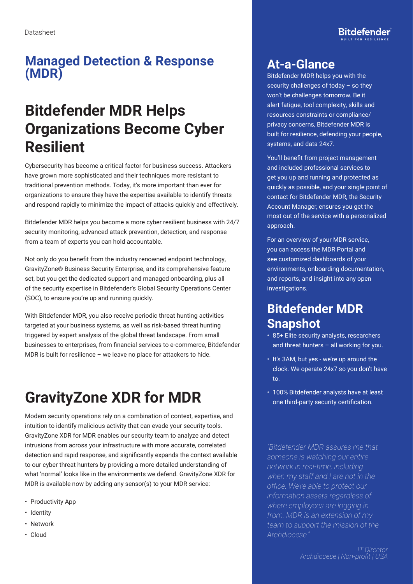### **Managed Detection & Response (MDR)**

## **Bitdefender MDR Helps Organizations Become Cyber Resilient**

Cybersecurity has become a critical factor for business success. Attackers have grown more sophisticated and their techniques more resistant to traditional prevention methods. Today, it's more important than ever for organizations to ensure they have the expertise available to identify threats and respond rapidly to minimize the impact of attacks quickly and effectively.

Bitdefender MDR helps you become a more cyber resilient business with 24/7 security monitoring, advanced attack prevention, detection, and response from a team of experts you can hold accountable.

Not only do you benefit from the industry renowned endpoint technology, GravityZone® Business Security Enterprise, and its comprehensive feature set, but you get the dedicated support and managed onboarding, plus all of the security expertise in Bitdefender's Global Security Operations Center (SOC), to ensure you're up and running quickly.

With Bitdefender MDR, you also receive periodic threat hunting activities targeted at your business systems, as well as risk-based threat hunting triggered by expert analysis of the global threat landscape. From small businesses to enterprises, from financial services to e-commerce, Bitdefender MDR is built for resilience – we leave no place for attackers to hide.

# **GravityZone XDR for MDR**

Modern security operations rely on a combination of context, expertise, and intuition to identify malicious activity that can evade your security tools. GravityZone XDR for MDR enables our security team to analyze and detect intrusions from across your infrastructure with more accurate, correlated detection and rapid response, and significantly expands the context available to our cyber threat hunters by providing a more detailed understanding of what 'normal' looks like in the environments we defend. GravityZone XDR for MDR is available now by adding any sensor(s) to your MDR service:

- Productivity App
- Identity
- Network
- Cloud

#### **At-a-Glance**

Bitdefender MDR helps you with the security challenges of today – so they won't be challenges tomorrow. Be it alert fatigue, tool complexity, skills and resources constraints or compliance/ privacy concerns, Bitdefender MDR is built for resilience, defending your people, systems, and data 24x7.

You'll benefit from project management and included professional services to get you up and running and protected as quickly as possible, and your single point of contact for Bitdefender MDR, the Security Account Manager, ensures you get the most out of the service with a personalized approach.

For an overview of your MDR service, you can access the MDR Portal and see customized dashboards of your environments, onboarding documentation, and reports, and insight into any open investigations.

### **Bitdefender MDR Snapshot**

- 85+ Elite security analysts, researchers and threat hunters – all working for you.
- It's 3AM, but yes we're up around the clock. We operate 24x7 so you don't have to.
- 100% Bitdefender analysts have at least one third-party security certification.

*"Bitdefender MDR assures me that someone is watching our entire network in real-time, including when my staff and I are not in the office. We're able to protect our information assets regardless of where employees are logging in from. MDR is an extension of my team to support the mission of the Archdiocese."* 

> *IT Director Archdiocese | Non-profit | USA*